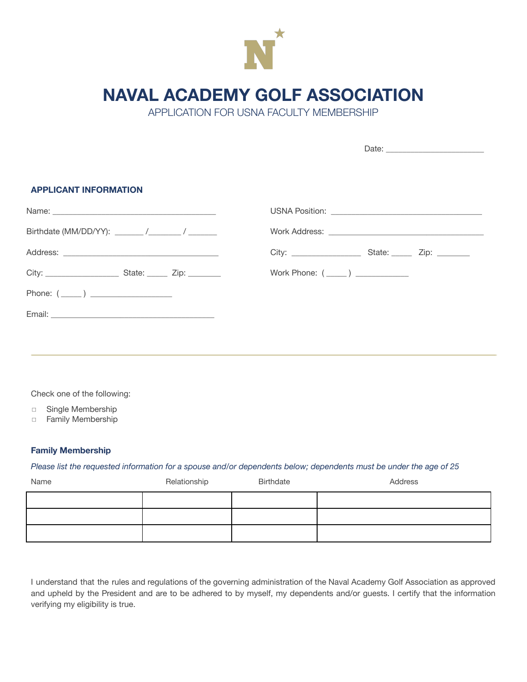

## **NAVAL ACADEMY GOLF ASSOCIATION**

APPLICATION FOR USNA FACULTY MEMBERSHIP

Date: \_\_\_\_\_\_\_\_\_\_\_\_\_\_\_\_\_\_\_\_\_\_\_\_

| <b>APPLICANT INFORMATION</b>                                                                                                                                                                                                         |  |
|--------------------------------------------------------------------------------------------------------------------------------------------------------------------------------------------------------------------------------------|--|
| Name: <u>2000 - 2000 - 2000 - 2000 - 2000 - 2000 - 2000 - 2000 - 2000 - 2000 - 2000 - 2000 - 2000 - 2000 - 2000 - 2000 - 2000 - 2000 - 2000 - 2000 - 2000 - 2000 - 2000 - 2000 - 2000 - 2000 - 2000 - 2000 - 2000 - 2000 - 2000 </u> |  |
|                                                                                                                                                                                                                                      |  |
|                                                                                                                                                                                                                                      |  |
|                                                                                                                                                                                                                                      |  |
| Phone: (_____) ___________________                                                                                                                                                                                                   |  |
|                                                                                                                                                                                                                                      |  |
|                                                                                                                                                                                                                                      |  |

Check one of the following:

- ◻ Single Membership
- ◻ Family Membership

## **Family Membership**

## Please list the requested information for a spouse and/or dependents below; dependents must be under the age of 25

| Name | Relationship | Birthdate | Address |
|------|--------------|-----------|---------|
|      |              |           |         |
|      |              |           |         |
|      |              |           |         |

I understand that the rules and regulations of the governing administration of the Naval Academy Golf Association as approved and upheld by the President and are to be adhered to by myself, my dependents and/or guests. I certify that the information verifying my eligibility is true.